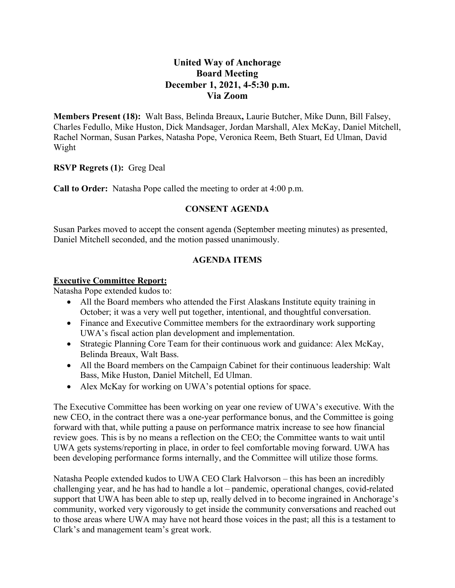# **United Way of Anchorage Board Meeting December 1, 2021, 4-5:30 p.m. Via Zoom**

**Members Present (18):** Walt Bass, Belinda Breaux**,** Laurie Butcher, Mike Dunn, Bill Falsey, Charles Fedullo, Mike Huston, Dick Mandsager, Jordan Marshall, Alex McKay, Daniel Mitchell, Rachel Norman, Susan Parkes, Natasha Pope, Veronica Reem, Beth Stuart, Ed Ulman, David Wight

**RSVP Regrets (1):** Greg Deal

**Call to Order:** Natasha Pope called the meeting to order at 4:00 p.m.

## **CONSENT AGENDA**

Susan Parkes moved to accept the consent agenda (September meeting minutes) as presented, Daniel Mitchell seconded, and the motion passed unanimously.

## **AGENDA ITEMS**

#### **Executive Committee Report:**

Natasha Pope extended kudos to:

- All the Board members who attended the First Alaskans Institute equity training in October; it was a very well put together, intentional, and thoughtful conversation.
- Finance and Executive Committee members for the extraordinary work supporting UWA's fiscal action plan development and implementation.
- Strategic Planning Core Team for their continuous work and guidance: Alex McKay, Belinda Breaux, Walt Bass.
- All the Board members on the Campaign Cabinet for their continuous leadership: Walt Bass, Mike Huston, Daniel Mitchell, Ed Ulman.
- Alex McKay for working on UWA's potential options for space.

The Executive Committee has been working on year one review of UWA's executive. With the new CEO, in the contract there was a one-year performance bonus, and the Committee is going forward with that, while putting a pause on performance matrix increase to see how financial review goes. This is by no means a reflection on the CEO; the Committee wants to wait until UWA gets systems/reporting in place, in order to feel comfortable moving forward. UWA has been developing performance forms internally, and the Committee will utilize those forms.

Natasha People extended kudos to UWA CEO Clark Halvorson – this has been an incredibly challenging year, and he has had to handle a lot – pandemic, operational changes, covid-related support that UWA has been able to step up, really delved in to become ingrained in Anchorage's community, worked very vigorously to get inside the community conversations and reached out to those areas where UWA may have not heard those voices in the past; all this is a testament to Clark's and management team's great work.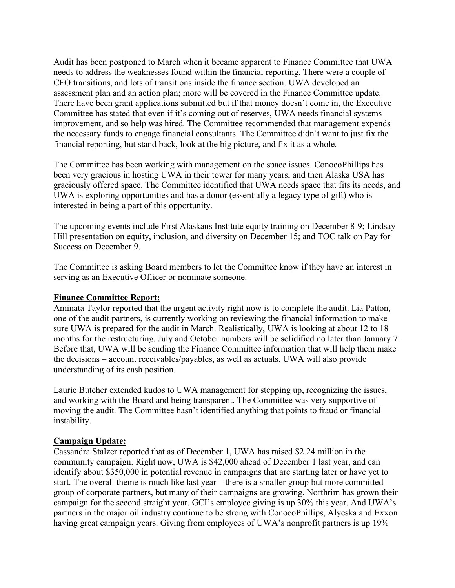Audit has been postponed to March when it became apparent to Finance Committee that UWA needs to address the weaknesses found within the financial reporting. There were a couple of CFO transitions, and lots of transitions inside the finance section. UWA developed an assessment plan and an action plan; more will be covered in the Finance Committee update. There have been grant applications submitted but if that money doesn't come in, the Executive Committee has stated that even if it's coming out of reserves, UWA needs financial systems improvement, and so help was hired. The Committee recommended that management expends the necessary funds to engage financial consultants. The Committee didn't want to just fix the financial reporting, but stand back, look at the big picture, and fix it as a whole.

The Committee has been working with management on the space issues. ConocoPhillips has been very gracious in hosting UWA in their tower for many years, and then Alaska USA has graciously offered space. The Committee identified that UWA needs space that fits its needs, and UWA is exploring opportunities and has a donor (essentially a legacy type of gift) who is interested in being a part of this opportunity.

The upcoming events include First Alaskans Institute equity training on December 8-9; Lindsay Hill presentation on equity, inclusion, and diversity on December 15; and TOC talk on Pay for Success on December 9.

The Committee is asking Board members to let the Committee know if they have an interest in serving as an Executive Officer or nominate someone.

#### **Finance Committee Report:**

Aminata Taylor reported that the urgent activity right now is to complete the audit. Lia Patton, one of the audit partners, is currently working on reviewing the financial information to make sure UWA is prepared for the audit in March. Realistically, UWA is looking at about 12 to 18 months for the restructuring. July and October numbers will be solidified no later than January 7. Before that, UWA will be sending the Finance Committee information that will help them make the decisions – account receivables/payables, as well as actuals. UWA will also provide understanding of its cash position.

Laurie Butcher extended kudos to UWA management for stepping up, recognizing the issues, and working with the Board and being transparent. The Committee was very supportive of moving the audit. The Committee hasn't identified anything that points to fraud or financial instability.

#### **Campaign Update:**

Cassandra Stalzer reported that as of December 1, UWA has raised \$2.24 million in the community campaign. Right now, UWA is \$42,000 ahead of December 1 last year, and can identify about \$350,000 in potential revenue in campaigns that are starting later or have yet to start. The overall theme is much like last year – there is a smaller group but more committed group of corporate partners, but many of their campaigns are growing. Northrim has grown their campaign for the second straight year. GCI's employee giving is up 30% this year. And UWA's partners in the major oil industry continue to be strong with ConocoPhillips, Alyeska and Exxon having great campaign years. Giving from employees of UWA's nonprofit partners is up 19%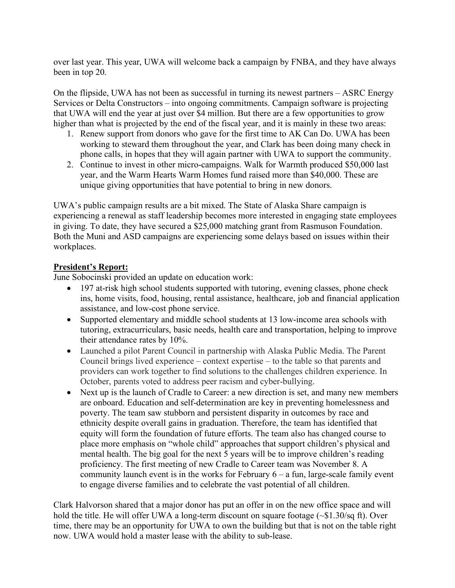over last year. This year, UWA will welcome back a campaign by FNBA, and they have always been in top 20.

On the flipside, UWA has not been as successful in turning its newest partners – ASRC Energy Services or Delta Constructors – into ongoing commitments. Campaign software is projecting that UWA will end the year at just over \$4 million. But there are a few opportunities to grow higher than what is projected by the end of the fiscal year, and it is mainly in these two areas:

- 1. Renew support from donors who gave for the first time to AK Can Do. UWA has been working to steward them throughout the year, and Clark has been doing many check in phone calls, in hopes that they will again partner with UWA to support the community.
- 2. Continue to invest in other micro-campaigns. Walk for Warmth produced \$50,000 last year, and the Warm Hearts Warm Homes fund raised more than \$40,000. These are unique giving opportunities that have potential to bring in new donors.

UWA's public campaign results are a bit mixed. The State of Alaska Share campaign is experiencing a renewal as staff leadership becomes more interested in engaging state employees in giving. To date, they have secured a \$25,000 matching grant from Rasmuson Foundation. Both the Muni and ASD campaigns are experiencing some delays based on issues within their workplaces.

## **President's Report:**

June Sobocinski provided an update on education work:

- 197 at-risk high school students supported with tutoring, evening classes, phone check ins, home visits, food, housing, rental assistance, healthcare, job and financial application assistance, and low-cost phone service.
- Supported elementary and middle school students at 13 low-income area schools with tutoring, extracurriculars, basic needs, health care and transportation, helping to improve their attendance rates by 10%.
- Launched a pilot Parent Council in partnership with Alaska Public Media. The Parent Council brings lived experience – context expertise – to the table so that parents and providers can work together to find solutions to the challenges children experience. In October, parents voted to address peer racism and cyber-bullying.
- Next up is the launch of Cradle to Career: a new direction is set, and many new members are onboard. Education and self-determination are key in preventing homelessness and poverty. The team saw stubborn and persistent disparity in outcomes by race and ethnicity despite overall gains in graduation. Therefore, the team has identified that equity will form the foundation of future efforts. The team also has changed course to place more emphasis on "whole child" approaches that support children's physical and mental health. The big goal for the next 5 years will be to improve children's reading proficiency. The first meeting of new Cradle to Career team was November 8. A community launch event is in the works for February  $6 - a$  fun, large-scale family event to engage diverse families and to celebrate the vast potential of all children.

Clark Halvorson shared that a major donor has put an offer in on the new office space and will hold the title. He will offer UWA a long-term discount on square footage ( $\sim $1.30$ /sq ft). Over time, there may be an opportunity for UWA to own the building but that is not on the table right now. UWA would hold a master lease with the ability to sub-lease.